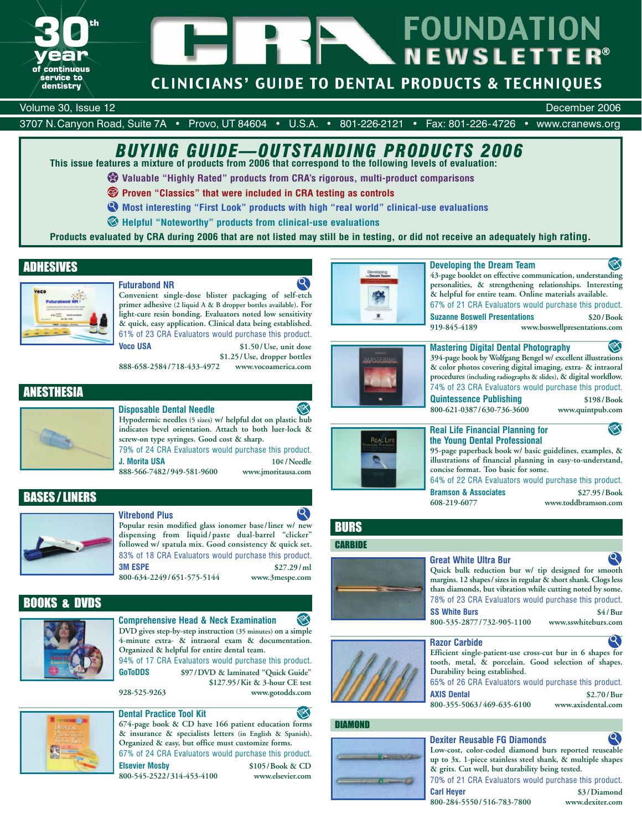

# **FOUNDATION NEWSLETTER**®

# **CLINICIANS' GUIDE TO DENTAL PRODUCTS & TECHNIQUES**

### Volume 30, Issue 12 December 2006

3707 N.Canyon Road, Suite 7A • Provo, UT 84604 • U.S.A. • 801-226-2121 • Fax: 801-226-4726 • www.cranews.org

# *BUYING GUIDE—OUTSTANDING PRODUCTS 2006*

**This issue features a mixture of products from 2006 that correspond to the following levels of evaluation:**

**Valuable "Highly Rated" products from CRA's rigorous, multi-product comparisons**

**Proven "Classics" that were included in CRA testing as controls**

- **Most interesting "First Look" products with high "real world" clinical-use evaluations**
- **Helpful "Noteworthy" products from clinical-use evaluations**

**Products evaluated by CRA during 2006 that are not listed may still be in testing, or did not receive an adequately high rating.**

## ADHESIVES



## **Futurabond NR**

**Convenient single-dose blister packaging of self-etch primer adhesive (2 liquid A & B dropper bottles available). For light-cure resin bonding. Evaluators noted low sensitivity & quick, easy application. Clinical data being established.** 61% of 23 CRA Evaluators would purchase this product. **Voco USA \$1.50/Use, unit dose**

**\$1.25/Use, dropper bottles 888-658-2584/718-433-4972 www.vocoamerica.com**

ANESTHESIA



## **Disposable Dental Needle Hypodermic needles (5 sizes) w/ helpful dot on plastic hub indicates bevel orientation. Attach to both luer-lock &**

**screw-on type syringes. Good cost & sharp.** 79% of 24 CRA Evaluators would purchase this product.

**J. Morita USA 10¢/Needle 888-566-7482/949-581-9600 www.jmoritausa.com**

BASES / LINERS



## **Vitrebond Plus**

**Popular resin modified glass ionomer base/liner w/ new dispensing from liquid/paste dual-barrel "clicker" followed w/ spatula mix. Good consistency & quick set.** 83% of 18 CRA Evaluators would purchase this product. **3M ESPE \$27.29/ml 800-634-2249/651-575-5144 www.3mespe.com**

## BOOKS & DVDS



**Comprehensive Head & Neck Examination DVD gives step-by-step instruction (35 minutes) on a simple 4-minute extra- & intraoral exam & documentation. Organized & helpful for entire dental team.**

94% of 17 CRA Evaluators would purchase this product. **GoToDDS \$97/DVD & laminated "Quick Guide"**

**\$127.95/Kit & 3-hour CE test 928-525-9263 www.gotodds.com**



## **Developing the Dream Team**

**43-page booklet on effective communication, understanding personalities, & strengthening relationships. Interesting & helpful for entire team. Online materials available.** 67% of 21 CRA Evaluators would purchase this product.

**Suzanne Boswell Presentations \$20/Book 919-845-4189 www.boswellpresentations.com**



x

**Mastering Digital Dental Photography 394-page book by Wolfgang Bengel w/ excellent illustrations & color photos covering digital imaging, extra- & intraoral procedures (including radiographs & slides), & digital workflow.** 74% of 23 CRA Evaluators would purchase this product. **Quintessence Publishing \$198/Book 800-621-0387/630-736-3600 www.quintpub.com**



## **Real Life Financial Planning for the Young Dental Professional**

**95-page paperback book w/ basic guidelines, examples, & illustrations of financial planning in easy-to-understand, concise format. Too basic for some.** 64% of 22 CRA Evaluators would purchase this product.

**Bramson & Associates \$27.95/Book**<br>608-219-6077 **www.toddbramson.com** 

**608-219-6077 www.toddbramson.com**



## **Great White Ultra Bur**



**Razor Carbide**

**Efficient single-patient-use cross-cut bur in 6 shapes for tooth, metal, & porcelain. Good selection of shapes. Durability being established.**

65% of 26 CRA Evaluators would purchase this product. **AXIS Dental \$2.70/Bur**

**800-355-5063/469-635-6100 www.axisdental.com**

#### **674-page book & CD have 166 patient education forms**  DIAMOND **& insurance & specialists letters (in English & Spanish).**  $\boldsymbol{\mathsf{Q}}$ **Dexiter Reusable FG Diamonds Low-cost, color-coded diamond burs reported reuseable**  $\blacksquare$  . There is the **up to 3x. 1-piece stainless steel shank, & multiple shapes & grits. Cut well, but durability being tested. 800-545-2522/314-453-4100 www.elsevier.com** 70% of 21 CRA Evaluators would purchase this product.  $\epsilon$  and  $\epsilon$ **Carl Heyer \$3/Diamond 800-284-5550/516-783-7800 www.dexiter.com**



**Organized & easy, but office must customize forms.** 67% of 24 CRA Evaluators would purchase this product. **Elsevier Mosby \$105/Book & CD**

 $\boldsymbol{\mathsf{Q}}$ 

**BURS CARBIDE** 





❤

**800-535-2877/732-905-1100 www.sswhiteburs.com**

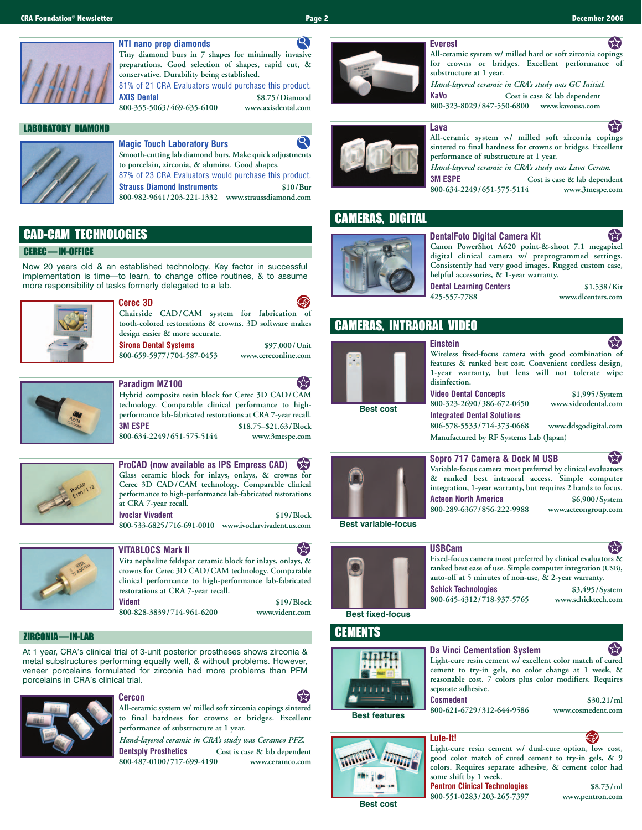

#### $\mathbf{Q}$ **NTI nano prep diamonds Tiny diamond burs in 7 shapes for minimally invasive preparations. Good selection of shapes, rapid cut, &**

**conservative. Durability being established.** 81% of 21 CRA Evaluators would purchase this product. **AXIS Dental \$8.75/Diamond**

**800-355-5063/469-635-6100 www.axisdental.com**

### LABORATORY DIAMOND



#### $\boldsymbol{\mathsf{Q}}$ **Magic Touch Laboratory Burs Smooth-cutting lab diamond burs. Make quick adjustments to porcelain, zirconia, & alumina. Good shapes.** 87% of 23 CRA Evaluators would purchase this product.

**Strauss Diamond Instruments \$10/Bur 800-982-9641/203-221-1332 www.straussdiamond.com**

## CAD-CAM TECHNOLOGIES

#### CEREC — IN-OFFICE

Now 20 years old & an established technology. Key factor in successful implementation is time—to learn, to change office routines, & to assume more responsibility of tasks formerly delegated to a lab.



### **Cerec 3D**

**Chairside CAD/CAM system for fabrication of tooth-colored restorations & crowns. 3D software makes design easier & more accurate. Sirona Dental Systems \$97,000/Unit** 

**800-659-5977/704-587-0453 www.cereconline.com**



# **Paradigm MZ100**

**Hybrid composite resin block for Cerec 3D CAD/CAM technology. Comparable clinical performance to highperformance lab-fabricated restorations at CRA 7-year recall. 3M ESPE \$18.75–\$21.63/Block 800-634-2249/651-575-5144 www.3mespe.com**



**ProCAD (now available as IPS Empress CAD)** 【太】 **Glass ceramic block for inlays, onlays, & crowns for Cerec 3D CAD/CAM technology. Comparable clinical performance to high-performance lab-fabricated restorations at CRA 7-year recall. Ivoclar Vivadent \$19/Block** 

**800-533-6825/716-691-0010 www.ivoclarvivadent.us.com**



# **VITABLOCS Mark II**

77

**Vita nepheline feldspar ceramic block for inlays, onlays, & crowns for Cerec 3D CAD/CAM technology. Comparable clinical performance to high-performance lab-fabricated restorations at CRA 7-year recall. Vident \$19/Block**

**800-828-3839/714-961-6200 www.vident.com**

## ZIRCONIA — IN-LAB

At 1 year, CRA's clinical trial of 3-unit posterior prostheses shows zirconia & metal substructures performing equally well, & without problems. However, veneer porcelains formulated for zirconia had more problems than PFM porcelains in CRA's clinical trial.



#### **Cercon**



**All-ceramic system w/ milled soft zirconia copings sintered to final hardness for crowns or bridges. Excellent performance of substructure at 1 year.**  *Hand-layered ceramic in CRA's study was Ceramco PFZ.*

**Dentsply Prosthetics Cost is case & lab dependent 800-487-0100/717-699-4190 www.ceramco.com**



#### **All-ceramic system w/ milled hard or soft zirconia copings for crowns or bridges. Excellent performance of substructure at 1 year.**

*Hand-layered ceramic in CRA's study was GC Initial.* **KaVo Cost is case & lab dependent**

**800-323-8029/847-550-6800 www.kavousa.com**



**All-ceramic system w/ milled soft zirconia copings sintered to final hardness for crowns or bridges. Excellent performance of substructure at 1 year.** 

*Hand-layered ceramic in CRA's study was Lava Ceram.*

**3M ESPE Cost is case & lab dependent 800-634-2249/651-575-5114 www.3mespe.com**

### CAMERAS, DIGITAL



**DentalFoto Digital Camera Kit Canon PowerShot A620 point-&-shoot 7.1 megapixel digital clinical camera w/ preprogrammed settings. Consistently had very good images. Rugged custom case, helpful accessories, & 1-year warranty.** 

**Dental Learning Centers** \$1,538/Kit<br>
425-557-7788 www.dlcenters.com

**425-557-7788 www.dlcenters.com**

## CAMERAS, INTRAORAL VIDEO



**Einstein**

**Wireless fixed-focus camera with good combination of features & ranked best cost. Convenient cordless design, 1-year warranty, but lens will not tolerate wipe disinfection.**

**Video Dental Concepts \$1,995/System** 800-323-2690/386-672-0450



**& ranked best intraoral access. Simple computer integration, 1-year warranty, but requires 2 hands to focus. Acteon North America \$6,900/System 800-289-6367/856-222-9988 www.acteongroup.com**

**Best variable-focus**



**USBCam**

**Fixed-focus camera most preferred by clinical evaluators & ranked best ease of use. Simple computer integration (USB), auto-off at 5 minutes of non-use, & 2-year warranty. Schick Technologies \$3,495/System**<br>800-645-4312/718-937-5765 www.schicktech.com **800-645-4312/718-937-5765 www.schicktech.com**

**Best fixed-focus**

## **CEMENTS**



くん **Da Vinci Cementation System Light-cure resin cement w/ excellent color match of cured cement to try-in gels, no color change at 1 week, & reasonable cost. 7 colors plus color modifiers. Requires separate adhesive.**

**Cosmedent \$30.21/ml 800-621-6729/312-644-9586 www.cosmedent.com**

**Best features**



**Lute-It!** ₩ **Light-cure resin cement w/ dual-cure option, low cost, good color match of cured cement to try-in gels, & 9 colors. Requires separate adhesive, & cement color had some shift by 1 week. Pentron Clinical Technologies** \$8.73/ml

**800-551-0283/203-265-7397 www.pentron.com Best cost**







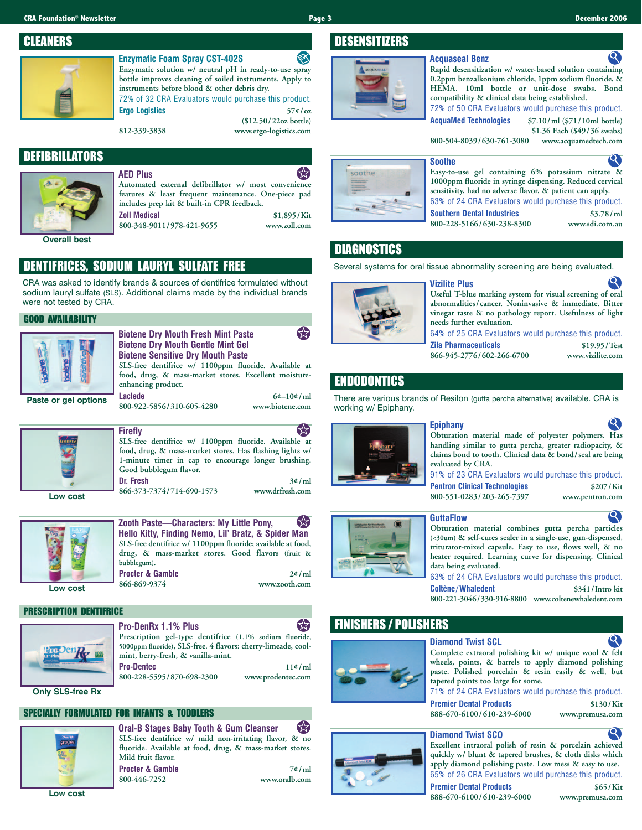#### **CRA Foundation® Newsletter Page 3 December 2006**

ಶ

**(\$12.50/22oz bottle)**

 $\bullet$ 

**\$1.36 Each (\$49/36 swabs)**

## CLEANERS



## **Enzymatic Foam Spray CST-402S**

**Enzymatic solution w/ neutral pH in ready-to-use spray bottle improves cleaning of soiled instruments. Apply to instruments before blood & other debris dry.** 72% of 32 CRA Evaluators would purchase this product. **Ergo Logistics 57¢/oz**

**812-339-3838 www.ergo-logistics.com**

## DEFIBRILLATORS



戈 **AED Plus Automated external defibrillator w/ most convenience features & least frequent maintenance. One-piece pad includes prep kit & built-in CPR feedback. Zoll Medical** \$1,895/Kit<br>800-348-9011/978-421-9655 www.zoll.com **800-348-9011/978-421-9655 www.zoll.com**

**Overall best**

## DENTIFRICES, SODIUM LAURYL SULFATE FREE

CRA was asked to identify brands & sources of dentifrice formulated without sodium lauryl sulfate (SLS). Additional claims made by the individual brands were not tested by CRA.

### GOOD AVAILABILITY



☆ **Biotene Dry Mouth Fresh Mint Paste Biotene Dry Mouth Gentle Mint Gel Biotene Sensitive Dry Mouth Paste SLS-free dentifrice w/ 1100ppm fluoride. Available at food, drug, & mass-market stores. Excellent moistureenhancing product. Laclede 6¢–10¢/ml 800-922-5856/310-605-4280 www.biotene.com**



くくて **Firefly SLS-free dentifrice w/ 1100ppm fluoride. Available at food, drug, & mass-market stores. Has flashing lights w/ 1-minute timer in cap to encourage longer brushing. Good bubblegum flavor. Dr. Fresh 3¢/ml**

**Low cost**



**Low cost**

**Hello Kitty, Finding Nemo, Lil' Bratz, & Spider Man SLS-free dentifrice w/ 1100ppm fluoride; available at food, drug, & mass-market stores. Good flavors (fruit & bubblegum). Procter & Gamble 2¢/ml**

### PRESCRIPTION DENTIFRICE



**Pro-DenRx 1.1% Plus Prescription gel-type dentifrice (1.1% sodium fluoride, 5000ppm fluoride), SLS-free. 4 flavors: cherry-limeade, coolmint, berry-fresh, & vanilla-mint. Pro-Dentec 11¢/ml 800-228-5595/870-698-2300 www.prodentec.com**

**Only SLS-free Rx**

## SPECIALLY FORMULATED FOR INFANTS & TODDLERS



分 **Oral-B Stages Baby Tooth & Gum Cleanser SLS-free dentifrice w/ mild non-irritating flavor, & no fluoride. Available at food, drug, & mass-market stores. Mild fruit flavor. Procter & Gamble 7¢/ml**<br>800-446-7252 **www.oralb.com 800-446-7252 www.oralb.com**

**Low cost**

**866-373-7374/714-690-1573 www.drfresh.com Zooth Paste—Characters: My Little Pony,** 53



**Pentron Clinical Technologies \$207/Kit** 

| <b>GuttaFlow</b>     |
|----------------------|
| Obturation mate      |
| $(<30$ um) & self-cu |
| triturator-mixed     |
| heater required.     |
| data being evalua    |
|                      |

**Obturation material combines gutta percha particles (<30um) & self-cures sealer in a single-use, gun-dispensed,** capsule. Easy to use, flows well, & no Learning curve for dispensing. Clinical **d** 

**Coltène/Whaledent \$341/Intro kit 800-221-3046/330-916-8800 www.coltenewhaledent.com**

## FINISHERS / POLISHERS



**Complete extraoral polishing kit w/ unique wool & felt wheels, points, & barrels to apply diamond polishing paste. Polished porcelain & resin easily & well, but tapered points too large for some.**

### **Diamond Twist SCO**

**Excellent intraoral polish of resin & porcelain achieved quickly w/ blunt & tapered brushes, & cloth disks which apply diamond polishing paste. Low mess & easy to use.** 65% of 26 CRA Evaluators would purchase this product.

**888-670-6100/610-239-6000 www.premusa.com**

**Premier Dental Products \$65/Kit** 



# **800-504-8039/630-761-3080 www.acquamedtech.com**

**Acquaseal Benz**

| Easy-to-use gel containing 6% potassium nitrate &        |
|----------------------------------------------------------|
| 1000ppm fluoride in syringe dispensing. Reduced cervical |
|                                                          |
| 63% of 24 CRA Evaluators would purchase this product.    |
| sensitivity, had no adverse flavor, & patient can apply. |

**Rapid desensitization w/ water-based solution containing 0.2ppm benzalkonium chloride, 1ppm sodium fluoride, & HEMA. 10ml bottle or unit-dose swabs. Bond compatibility & clinical data being established.** 72% of 50 CRA Evaluators would purchase this product. **AcquaMed Technologies \$7.10/ml (\$71/10ml bottle)**

**Southern Dental Industries \$3.78/ml**<br>800-228-5166/630-238-8300 *www.sdi.com.au* **800-228-5166/630-238-8300 www.sdi.com.au**

## **DIAGNOSTICS**

**DESENSITIZERS** 

Several systems for oral tissue abnormality screening are being evaluated.



## **Vizilite Plus**

**Useful T-blue marking system for visual screening of oral abnormalities/cancer. Noninvasive & immediate. Bitter vinegar taste & no pathology report. Usefulness of light needs further evaluation.**

64% of 25 CRA Evaluators would purchase this product. **Zila Pharmaceuticals \$19.95/Test**

**866-945-2776/602-266-6700 www.vizilite.com**

## ENDODONTICS

There are various brands of Resilon (gutta percha alternative) available. CRA is working w/ Epiphany.

**Epiphany Obturation material made of polyester polymers. Has**

**handling similar to gutta percha, greater radiopacity, & claims bond to tooth. Clinical data & bond/seal are being evaluated by CRA.** 91% of 23 CRA Evaluators would purchase this product.

**800-551-0283/203-265-7397 www.pentron.com**

Q)

63% of 24 CRA Evaluators would purchase this product.

**Diamond Twist SCL**

**Premier Dental Products \$130/Kit 888-670-6100/610-239-6000 www.premusa.com**









大







**866-869-9374 www.zooth.com**



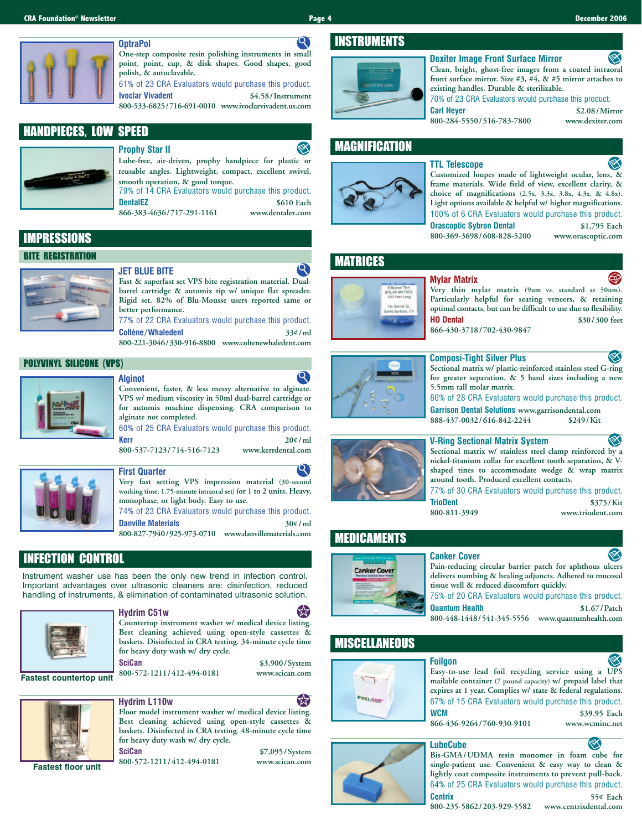

#### $\mathbf{Q}$ **One-step composite resin polishing instruments in small point, point, cup, & disk shapes. Good shapes, good polish, & autoclavable.** 61% of 23 CRA Evaluators would purchase this product.

**Ivoclar Vivadent \$4.58/Instrument 800-533-6825/716-691-0010 www.ivoclarvivadent.us.com**

## HANDPIECES, LOW SPEED

## **Prophy Star II**



**Lube-free, air-driven, prophy handpiece for plastic or reusable angles. Lightweight, compact, excellent swivel, smooth operation, & good torque.** 79% of 14 CRA Evaluators would purchase this product. **DentalEZ** \$610 Each<br>866-383-4636/717-291-1161 www.dentalez.com 866-383-4636/717-291-1161

IMPRESSIONS

### BITE REGISTRATION



**Fast & superfast set VPS bite registration material. Dualbarrel cartridge & automix tip w/ unique flat spreader. Rigid set. 82% of Blu-Mousse users reported same or better performance.**

77% of 22 CRA Evaluators would purchase this product. **Coltène/Whaledent 33¢/ml 800-221-3046/330-916-8800 www.coltenewhaledent.com**

### POLYVINYL SILICONE (VPS)



#### **Alginot**



**Convenient, faster, & less messy alternative to alginate. VPS w/ medium viscosity in 50ml dual-barrel cartridge or for automix machine dispensing. CRA comparison to alginate not completed.**

60% of 25 CRA Evaluators would purchase this product. **Kerr 20¢/ml**

**800-537-7123/714-516-7123 www.kerrdental.com**



## **First Quarter**

**Very fast setting VPS impression material (30-second working time, 1.75-minute intraoral set) for 1 to 2 units. Heavy, monophase, or light body. Easy to use.** 74% of 23 CRA Evaluators would purchase this product.

**Danville Materials 30¢/ml 800-827-7940/925-973-0710 www.danvillematerials.com**

## INFECTION CONTROL

Instrument washer use has been the only new trend in infection control. Important advantages over ultrasonic cleaners are: disinfection, reduced handling of instruments, & elimination of contaminated ultrasonic solution.



**Hydrim C51w**

**Countertop instrument washer w/ medical device listing. Best cleaning achieved using open-style cassettes & baskets. Disinfected in CRA testing. 34-minute cycle time for heavy duty wash w/ dry cycle.**

**800-572-1211/412-494-0181 www.scican.com**

**SciCan \$3,900/System**

53



## **Hydrim L110w Floor model instrument washer w/ medical device listing.**

**Best cleaning achieved using open-style cassettes & baskets. Disinfected in CRA testing. 48-minute cycle time for heavy duty wash w/ dry cycle. SciCan \$7,095/System**

**800-572-1211/412-494-0181 www.scican.com Fastest floor unit**

## INSTRUMENTS



#### **Dexiter Image Front Surface Mirror**

**Clean, bright, ghost-free images from a coated intraoral front surface mirror. Size #3, #4, & #5 mirror attaches to existing handles. Durable & sterilizable.** 70% of 23 CRA Evaluators would purchase this product.

**Carl Heyer \$2.08/Mirror 800-284-5550/516-783-7800 www.dexiter.com**

## MAGNIFICATION



#### **TTL Telescope Customized loupes made of lightweight ocular, lens, & frame materials. Wide field of view, excellent clarity, &**

**choice of magnifications (2.5x, 3.3x, 3.8x, 4.3x, & 4.8x). Light options available & helpful w/ higher magnifications.** 100% of 6 CRA Evaluators would purchase this product. **Orascoptic Sybron Dental \$1,795 Each 800-369-3698/608-828-5200 www.orascoptic.com**

## MATRICES



#### **Mylar Matrix**

**Very thin mylar matrix (9um vs. standard at 50um). Particularly helpful for seating veneers, & retaining optimal contacts, but can be difficult to use due to flexibility. HO Dental \$30/300 feet**

**866-430-3718/702-430-9847**



## **Composi-Tight Silver Plus**

**Sectional matrix w/ plastic-reinforced stainless steel G-ring for greater separation, & 5 band sizes including a new 5.5mm tall molar matrix.**

86% of 28 CRA Evaluators would purchase this product.

**Garrison Dental Solutions www.garrisondental.com** 888-437-0032/616-842-2244

### **V-Ring Sectional Matrix System**

**Sectional matrix w/ stainless steel clamp reinforced by a nickel-titanium collar for excellent tooth separation, & Vshaped tines to accommodate wedge & wrap matrix around tooth. Produced excellent contacts.**

77% of 30 CRA Evaluators would purchase this product. **TrioDent** \$375/Kit \$800-811-3949 www.triodent.com **800-811-3949 www.triodent.com**

## MEDICAMENTS



### **Canker Cover**



75% of 20 CRA Evaluators would purchase this product. **Quantum Health \$1.67/Patch**

**800-448-1448/541-345-5556 www.quantumhealth.com**

## **MISCELLANEOUS**



#### **Foilgon Easy-to-use lead foil recycling service using a UPS mailable container (7 pound capacity) w/ prepaid label that expires at 1 year. Complies w/ state & federal regulations.**  67% of 15 CRA Evaluators would purchase this product. **WCM \$39.95 Each 866-436-9264/760-930-9101 www.wcminc.net**

## **LubeCube**



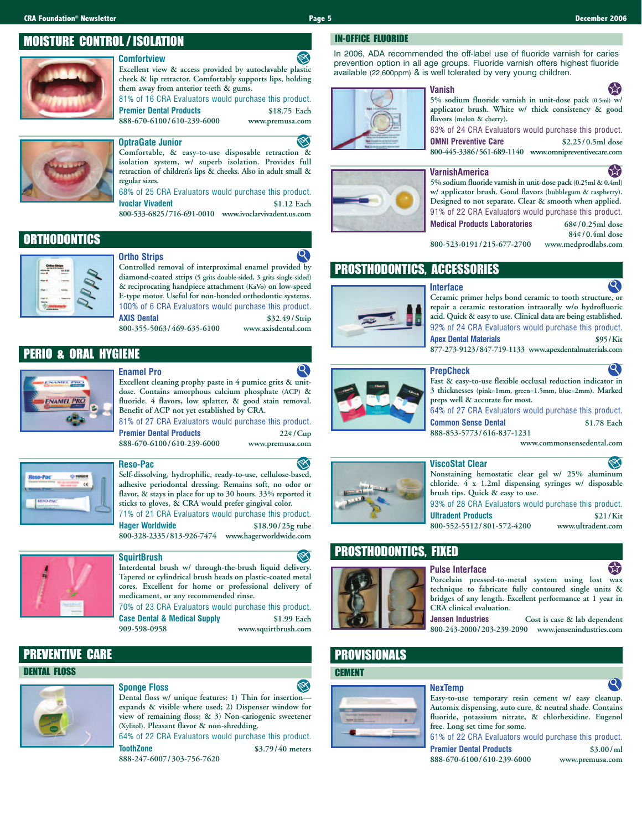## MOISTURE CONTROL / ISOLATION

## **Comfortview**

**Excellent view & access provided by autoclavable plastic cheek & lip retractor. Comfortably supports lips, holding them away from anterior teeth & gums.**

81% of 16 CRA Evaluators would purchase this product. **Premier Dental Products \$18.75 Each**

**888-670-6100/610-239-6000 www.premusa.com**



### **OptraGate Junior**

**Comfortable, & easy-to-use disposable retraction & isolation system, w/ superb isolation. Provides full retraction of children's lips & cheeks. Also in adult small & regular sizes.**

68% of 25 CRA Evaluators would purchase this product. **Ivoclar Vivadent \$1.12 Each**

**800-533-6825/716-691-0010 www.ivoclarvivadent.us.com**

## **ORTHODONTICS**



### **Ortho Strips**

**Enamel Pro**

**Controlled removal of interproximal enamel provided by diamond-coated strips (5 grits double-sided, 3 grits single-sided) & reciprocating handpiece attachment (KaVo) on low-speed E-type motor. Useful for non-bonded orthodontic systems.** 100% of 6 CRA Evaluators would purchase this product. **AXIS Dental \$32.49/Strip 800-355-5063/469-635-6100 www.axisdental.com**

## PERIO & ORAL HYGIENE



#### **Excellent cleaning prophy paste in 4 pumice grits & unitdose. Contains amorphous calcium phosphate (ACP) & fluoride. 4 flavors, low splatter, & good stain removal. Benefit of ACP not yet established by CRA.**

81% of 27 CRA Evaluators would purchase this product. **Premier Dental Products 22¢/Cup 888-670-6100/610-239-6000 www.premusa.com**

**Self-dissolving, hydrophilic, ready-to-use, cellulose-based, adhesive periodontal dressing. Remains soft, no odor or flavor, & stays in place for up to 30 hours. 33% reported it sticks to gloves, & CRA would prefer gingival color.** 71% of 21 CRA Evaluators would purchase this product. **Hager Worldwide \$18.90/25g tube**

## **800-328-2335/813-926-7474 www.hagerworldwide.com**

**Reso-Pac**



### **SquirtBrush**

**Interdental brush w/ through-the-brush liquid delivery. Tapered or cylindrical brush heads on plastic-coated metal cores. Excellent for home or professional delivery of medicament, or any recommended rinse.**

70% of 23 CRA Evaluators would purchase this product. **Case Dental & Medical Supply** \$1.99 Each **909-598-0958 www.squirtbrush.com**

## PREVENTIVE CARE

#### DENTAL FLOSS

#### **Sponge Floss**



**Dental floss w/ unique features: 1) Thin for insertion expands & visible where used; 2) Dispenser window for view of remaining floss; & 3) Non-cariogenic sweetener (Xylitol). Pleasant flavor & non-shredding.**  64% of 22 CRA Evaluators would purchase this product.

**ToothZone \$3.79/40 meters 888-247-6007/303-756-7620**

IN-OFFICE FLUORIDE

In 2006, ADA recommended the off-label use of fluoride varnish for caries prevention option in all age groups. Fluoride varnish offers highest fluoride available (22,600ppm) & is well tolerated by very young children.



#### **Vanish**

**5% sodium fluoride varnish in unit-dose pack (0.5ml) w/ applicator brush. White w/ thick consistency & good flavors (melon & cherry).**

83% of 24 CRA Evaluators would purchase this product. **OMNI Preventive Care \$2.25/0.5ml dose 800-445-3386/561-689-1140 www.omnipreventivecare.com**

#### **VarnishAmerica**



**5% sodium fluoride varnish in unit-dose pack (0.25ml & 0.4ml) w/ applicator brush. Good flavors (bubblegum & raspberry). Designed to not separate. Clear & smooth when applied.** 91% of 22 CRA Evaluators would purchase this product. **Medical Products Laboratories 68¢/0.25ml dose**

**800-523-0191/215-677-2700 www.medprodlabs.com**

**84¢/0.4ml dose**

# PROSTHODONTICS, ACCESSORIES



#### **Interface Ceramic primer helps bond ceramic to tooth structure, or repair a ceramic restoration intraorally w/o hydrofluoric acid. Quick & easy to use. Clinical data are being established.** 92% of 24 CRA Evaluators would purchase this product.

**Apex Dental Materials \$95/Kit 877-273-9123/847-719-1133 www.apexdentalmaterials.com**

#### **PrepCheck**





⋘ **ViscoStat Clear Nonstaining hemostatic clear gel w/ 25% aluminum chloride. 4 x 1.2ml dispensing syringes w/ disposable brush tips. Quick & easy to use.** 93% of 28 CRA Evaluators would purchase this product.

**Ultradent Products \$21/Kit 800-552-5512/801-572-4200 www.ultradent.com**

## PROSTHODONTICS, FIXED



# **Pulse Interface**



**Jensen Industries Cost is case & lab dependent 800-243-2000/203-239-2090 www.jensenindustries.com**

## PROVISIONALS

### **CEMENT**



## **NexTemp**

**Easy-to-use temporary resin cement w/ easy cleanup. Automix dispensing, auto cure, & neutral shade. Contains fluoride, potassium nitrate, & chlorhexidine. Eugenol free. Long set time for some.**

61% of 22 CRA Evaluators would purchase this product. **Premier Dental Products \$3.00/ml**

**888-670-6100/610-239-6000 www.premusa.com**

 $\mathbf{Q}$ 







 $\boldsymbol{\Omega}$